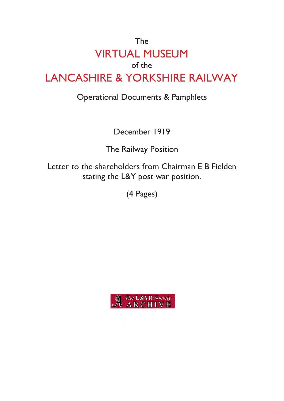# The VIRTUAL MUSEUM of the LANCASHIRE & YORKSHIRE RAILWAY

## Operational Documents & Pamphlets

December 1919

The Railway Position

Letter to the shareholders from Chairman E B Fielden stating the L&Y post war position.

(4 Pages)

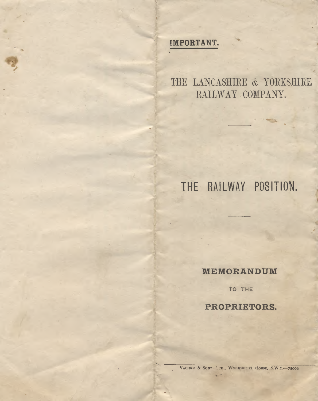#### IMPORTANT.

THE LANCASHIRE & YORKSHIRE RAILWAY COMPANY.

## THE RAILWAY POSITION.

MEMORANDUM

TO THE

PROPRIETORS.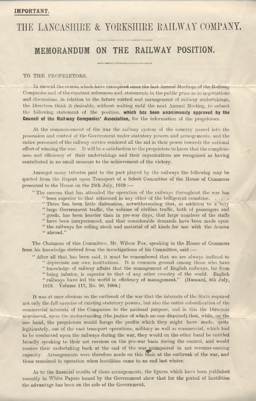## THE LANCASHIRE & YORKSHIRE RAILWAY COMPANY.

#### **MEMORANDUM ON THE RAILWAY POSITION.**

#### TO THE PROPRIETORS.

In view of the events which have transpired since the last Annual Meetings of the Railway Companies and of the constant references and statements in the public press as to negotiations and discussions, in relation to the future control and management of railway undertakings, the Directors think it desirable, without waiting until the next Annual Meeting, to submit the following statement of the position, which has been unanimously approved by the Council of the Railway Companies' Association, for the information of the proprietors.

At the commencement of the war the railway system of the country passed into the possession and control of the Government under statutory powers and arrangements, and the entire personnel of the railway service rendered all the aid in their power towrards the national effort of winning the war. It will be a satisfaction to the proprietors to know that the completeness and efficiency of their undertakings and their organisations are recognised as having contributed in no small measure to the achievement of the victory.

Amongst many tributes paid to the part played by the railways the following may be quoted from the Report upon Transport of a Select Committee of the House of Commons presented to the House on the 25th July, <sup>1919</sup> :—

" The success that has attended the operation of the railways throughout the war has

" been superior to that witnessed in any other of the belligerent countries. . . . " There has been little dislocation, notwithstanding that, in addition to a very " large Government traffic, the volume of civilian traffic, both of passengers and " goods, has been heavier than in pre-war days, that large numbers of the staffs " have been inexperienced, and that considerable demands have been made upon " the railways for rolling stock and material of all kinds for use with the Armies " abroad."

The Chairman of this Committee, Mr. Wilson Fox, speaking in the House of Commons from his knowledge derived from the investigations of his Committee, said :—

" After all that has been said, it must be remembered that we are always inclined to " depreciate our own institutions. It is common ground among those who have " knowledge of railway affairs that the management of English railways, far from " being inferior, is superior to that of any other country of the world. English " railways have led the world in efficiency of management." (Hansard, 8th July, 1919. Volume 117, No. 90, 1004.)

It was at once obvious on the outbreak of the war that the interests of the State required not only the full exercise of existing statutory powers, but also the entire subordination of the commercial interests of the Companies to the national purpose, and in this the Directors acquiesced, upon the understanding (the justice of which no one disputed) that, while, on the one hand, the proprietors would forego the profits which they might have made, quite legitimately, out of the vast transport operations, military as well as commercial, which had to be conducted upon the railways during the war, they would on the other hand be entitled broadly speaking to their net revenue on the pre-war basis during the control, and would receive their undertaking back at the end of the war unimpaired in net revenue-earning<br>capacity. Arrangements were therefore made on this basis at the outbreak of the war, and capacity. Arrangements were therefore made on this basis at the outbreak of the war, and these remained in operation when hostilities came to an end last winter.

As to the financial results of these arrangements, the figures which have been published recently in White Papers issued by the Government show that for the period of hostilities the advantage has been on the side of the Government.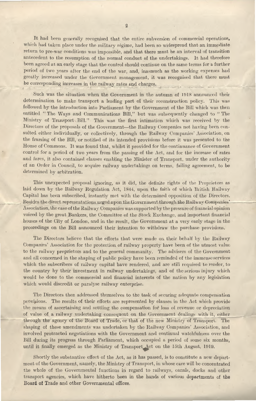It had been generally recognised that the entire subversion of commercial operations, which had taken place under the military regime, had been so widespread that an immediate return to pre-war conditions was impossible, and that there must be an interval of transition antecedent to the resumption of the normal conduct of the undertakings. It had therefore been agreed at an early stage that the control should continue on the same terms for a further period of two years after the end of the war, and, inasmuch as the working expenses had greatly increased under the Government management, it was recognised that there must be corresponding increases in the railway rates and charges. Ll. \_- *ri*—

Such was the situation when the Government in the autumn of 1918 announced their determination to make transport a leading part of their reconstruction policy. This was followed by the introduction into Parliament by the Government of the Bill which was then entitled " The Ways and Communications Bill," but was subsequently changed to " The Ministry of Transport Bill." This was the first intimation which was received by the Directors of the proposals of the Government—the Railway Companies not having been consulted either individually, or collectively, through the Railway Companies' Association, on the framing of the Bill, or notified of its intended provisions before it was presented to the House of Commons. It was found that, whilst it provided for the continuance of Government control for a period of two years from the passing of the Act, and for the increase of rates and fares, it also contained clauses enabling the Minister of Transport, under the authority of an Order in Council, to acquire railway undertakings on terms, failing agreement, to be determined by arbitration.

This unexpected proposal ignoring, as it did, the definite rights of the Proprietors as laid down by the Railway Regulation Act, 1844, upon the faith of which British Railway Capital has been subscribed, instantly met with the determined opposition of the Directors. Besides the direct representations urged upon the Government through the Railway Companies' Association, the case of the Railway Companies was supported by the pressure of financial opinion voiced by the great Bankers, the Committee of the Stock Exchange, and important financial houses of the City of London, and in the result, the Government at a very early stage in the proceedings on the Bill announced their intention to withdraw the purchase provisions.

The Directors believe that the efforts that were made on their behalf by the Railway Companies' Association for the protection of railway property have been of the utmost value to the railway proprietors and to the general community. The advisers of the Government and all concerned in the shaping of public policy have been reminded of the immenseservices which the subscribers of railway capital have rendered, and are still required to render, to the country by their investment in railway undertakings, and of the serious injury which would be done to the commercial and financial interests of the nation by any legislation which would discredit or paralyse railway enterprise.

The Directors then addressed themselves to the task of securing adequate compensation provisions. The results of their efforts are represented by clauses in the Act which provide the means of ascertaining and settling the compensation for loss of revenue or depreciation of value of a railway undertaking consequent on the Government dealings with it, either through the agency of the Board of Trade, or that of the new Ministry of Transport. The shaping of these amendments was undertaken by the Railway Companies' Association, and involved protracted negotiations with the Government and continual watchfulness over the Bill during its progress through Parliament, which occupied a period of some six months,

until it finally emerged as the Ministry of Transport Act on the 15th August, 1919.<br>Shortly the substantive effect of the Act, as it has passed, is to constitute a new  $\epsilon$ Shortly the substantive effect of the Act, as it has passed, is to constitute a new depart ment of the Government, namely, the Ministry of Transport, in whose care will be concentrated the whole of the Governmental functions in regard to railways, canals, docks and other transport agencies, which have hitherto been in the hands of various departments of the **Board of** Trade and other Governmental offices.